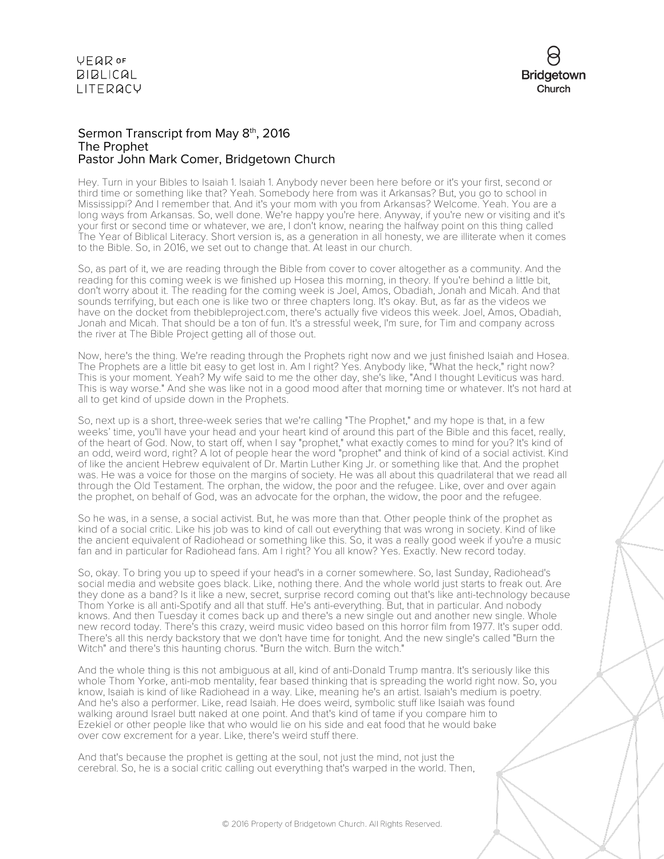

## Sermon Transcript from May 8<sup>th</sup>, 2016 The Prophet Pastor John Mark Comer, Bridgetown Church

Hey. Turn in your Bibles to Isaiah 1. Isaiah 1. Anybody never been here before or it's your first, second or third time or something like that? Yeah. Somebody here from was it Arkansas? But, you go to school in Mississippi? And I remember that. And it's your mom with you from Arkansas? Welcome. Yeah. You are a long ways from Arkansas. So, well done. We're happy you're here. Anyway, if you're new or visiting and it's your first or second time or whatever, we are, I don't know, nearing the halfway point on this thing called The Year of Biblical Literacy. Short version is, as a generation in all honesty, we are illiterate when it comes to the Bible. So, in 2016, we set out to change that. At least in our church.

So, as part of it, we are reading through the Bible from cover to cover altogether as a community. And the reading for this coming week is we finished up Hosea this morning, in theory. If you're behind a little bit, don't worry about it. The reading for the coming week is Joel, Amos, Obadiah, Jonah and Micah. And that sounds terrifying, but each one is like two or three chapters long. It's okay. But, as far as the videos we have on the docket from thebibleproject.com, there's actually five videos this week. Joel, Amos, Obadiah, Jonah and Micah. That should be a ton of fun. It's a stressful week, I'm sure, for Tim and company across the river at The Bible Project getting all of those out.

Now, here's the thing. We're reading through the Prophets right now and we just finished Isaiah and Hosea. The Prophets are a little bit easy to get lost in. Am I right? Yes. Anybody like, "What the heck," right now? This is your moment. Yeah? My wife said to me the other day, she's like, "And I thought Leviticus was hard. This is way worse." And she was like not in a good mood after that morning time or whatever. It's not hard at all to get kind of upside down in the Prophets.

So, next up is a short, three-week series that we're calling "The Prophet," and my hope is that, in a few weeks' time, you'll have your head and your heart kind of around this part of the Bible and this facet, really, of the heart of God. Now, to start off, when I say "prophet," what exactly comes to mind for you? It's kind of an odd, weird word, right? A lot of people hear the word "prophet" and think of kind of a social activist. Kind of like the ancient Hebrew equivalent of Dr. Martin Luther King Jr. or something like that. And the prophet was. He was a voice for those on the margins of society. He was all about this quadrilateral that we read all through the Old Testament. The orphan, the widow, the poor and the refugee. Like, over and over again the prophet, on behalf of God, was an advocate for the orphan, the widow, the poor and the refugee.

So he was, in a sense, a social activist. But, he was more than that. Other people think of the prophet as kind of a social critic. Like his job was to kind of call out everything that was wrong in society. Kind of like the ancient equivalent of Radiohead or something like this. So, it was a really good week if you're a music fan and in particular for Radiohead fans. Am I right? You all know? Yes. Exactly. New record today.

So, okay. To bring you up to speed if your head's in a corner somewhere. So, last Sunday, Radiohead's social media and website goes black. Like, nothing there. And the whole world just starts to freak out. Are they done as a band? Is it like a new, secret, surprise record coming out that's like anti-technology because Thom Yorke is all anti-Spotify and all that stuff. He's anti-everything. But, that in particular. And nobody knows. And then Tuesday it comes back up and there's a new single out and another new single. Whole new record today. There's this crazy, weird music video based on this horror film from 1977. It's super odd. There's all this nerdy backstory that we don't have time for tonight. And the new single's called "Burn the Witch" and there's this haunting chorus. "Burn the witch. Burn the witch."

And the whole thing is this not ambiguous at all, kind of anti-Donald Trump mantra. It's seriously like this whole Thom Yorke, anti-mob mentality, fear based thinking that is spreading the world right now. So, you know, Isaiah is kind of like Radiohead in a way. Like, meaning he's an artist. Isaiah's medium is poetry. And he's also a performer. Like, read Isaiah. He does weird, symbolic stuff like Isaiah was found walking around Israel butt naked at one point. And that's kind of tame if you compare him to Ezekiel or other people like that who would lie on his side and eat food that he would bake over cow excrement for a year. Like, there's weird stuff there.

And that's because the prophet is getting at the soul, not just the mind, not just the cerebral. So, he is a social critic calling out everything that's warped in the world. Then,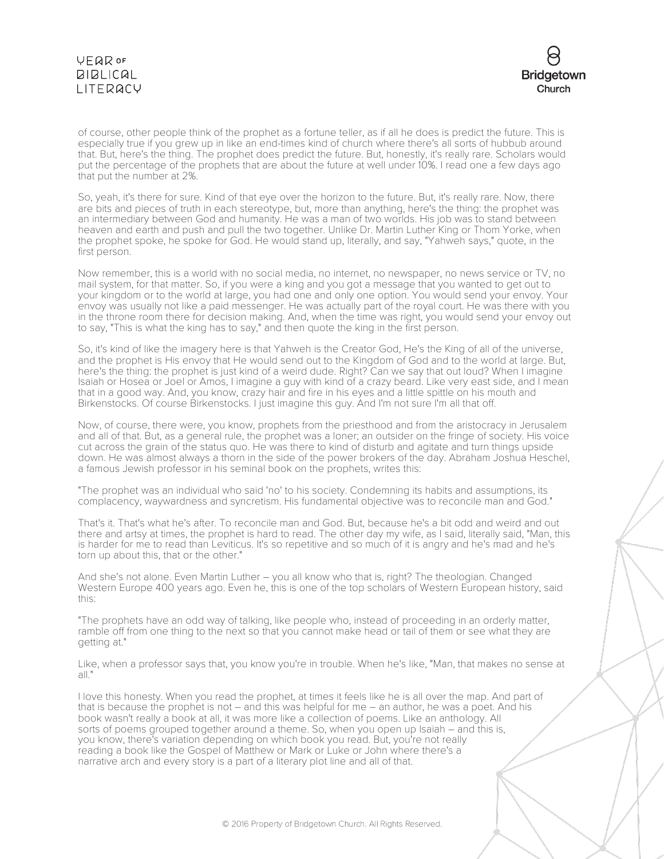

of course, other people think of the prophet as a fortune teller, as if all he does is predict the future. This is especially true if you grew up in like an end-times kind of church where there's all sorts of hubbub around that. But, here's the thing. The prophet does predict the future. But, honestly, it's really rare. Scholars would put the percentage of the prophets that are about the future at well under 10%. I read one a few days ago that put the number at 2%.

So, yeah, it's there for sure. Kind of that eye over the horizon to the future. But, it's really rare. Now, there are bits and pieces of truth in each stereotype, but, more than anything, here's the thing: the prophet was an intermediary between God and humanity. He was a man of two worlds. His job was to stand between heaven and earth and push and pull the two together. Unlike Dr. Martin Luther King or Thom Yorke, when the prophet spoke, he spoke for God. He would stand up, literally, and say, "Yahweh says," quote, in the first person.

Now remember, this is a world with no social media, no internet, no newspaper, no news service or TV, no mail system, for that matter. So, if you were a king and you got a message that you wanted to get out to your kingdom or to the world at large, you had one and only one option. You would send your envoy. Your envoy was usually not like a paid messenger. He was actually part of the royal court. He was there with you in the throne room there for decision making. And, when the time was right, you would send your envoy out to say, "This is what the king has to say," and then quote the king in the first person.

So, it's kind of like the imagery here is that Yahweh is the Creator God, He's the King of all of the universe, and the prophet is His envoy that He would send out to the Kingdom of God and to the world at large. But, here's the thing: the prophet is just kind of a weird dude. Right? Can we say that out loud? When I imagine Isaiah or Hosea or Joel or Amos, I imagine a guy with kind of a crazy beard. Like very east side, and I mean that in a good way. And, you know, crazy hair and fire in his eyes and a little spittle on his mouth and Birkenstocks. Of course Birkenstocks. I just imagine this guy. And I'm not sure I'm all that off.

Now, of course, there were, you know, prophets from the priesthood and from the aristocracy in Jerusalem and all of that. But, as a general rule, the prophet was a loner; an outsider on the fringe of society. His voice cut across the grain of the status quo. He was there to kind of disturb and agitate and turn things upside down. He was almost always a thorn in the side of the power brokers of the day. Abraham Joshua Heschel, a famous Jewish professor in his seminal book on the prophets, writes this:

"The prophet was an individual who said 'no' to his society. Condemning its habits and assumptions, its complacency, waywardness and syncretism. His fundamental objective was to reconcile man and God."

That's it. That's what he's after. To reconcile man and God. But, because he's a bit odd and weird and out there and artsy at times, the prophet is hard to read. The other day my wife, as I said, literally said, "Man, this is harder for me to read than Leviticus. It's so repetitive and so much of it is angry and he's mad and he's torn up about this, that or the other."

And she's not alone. Even Martin Luther – you all know who that is, right? The theologian. Changed Western Europe 400 years ago. Even he, this is one of the top scholars of Western European history, said this:

"The prophets have an odd way of talking, like people who, instead of proceeding in an orderly matter, ramble off from one thing to the next so that you cannot make head or tail of them or see what they are getting at."

Like, when a professor says that, you know you're in trouble. When he's like, "Man, that makes no sense at all."

I love this honesty. When you read the prophet, at times it feels like he is all over the map. And part of that is because the prophet is not – and this was helpful for me – an author, he was a poet. And his book wasn't really a book at all, it was more like a collection of poems. Like an anthology. All sorts of poems grouped together around a theme. So, when you open up Isaiah – and this is, you know, there's variation depending on which book you read. But, you're not really reading a book like the Gospel of Matthew or Mark or Luke or John where there's a narrative arch and every story is a part of a literary plot line and all of that.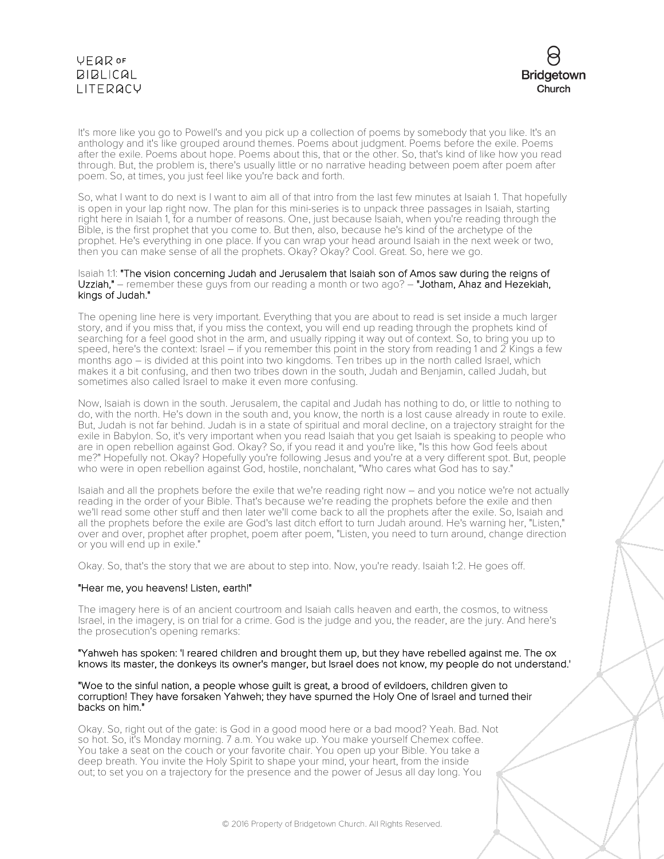

It's more like you go to Powell's and you pick up a collection of poems by somebody that you like. It's an anthology and it's like grouped around themes. Poems about judgment. Poems before the exile. Poems after the exile. Poems about hope. Poems about this, that or the other. So, that's kind of like how you read through. But, the problem is, there's usually little or no narrative heading between poem after poem after poem. So, at times, you just feel like you're back and forth.

So, what I want to do next is I want to aim all of that intro from the last few minutes at Isaiah 1. That hopefully is open in your lap right now. The plan for this mini-series is to unpack three passages in Isaiah, starting right here in Isaiah 1, for a number of reasons. One, just because Isaiah, when you're reading through the Bible, is the first prophet that you come to. But then, also, because he's kind of the archetype of the prophet. He's everything in one place. If you can wrap your head around Isaiah in the next week or two, then you can make sense of all the prophets. Okay? Okay? Cool. Great. So, here we go.

### Isaiah 1:1: "The vision concerning Judah and Jerusalem that Isaiah son of Amos saw during the reigns of Uzziah," – remember these guys from our reading a month or two ago? - "Jotham, Ahaz and Hezekiah, kings of Judah."

The opening line here is very important. Everything that you are about to read is set inside a much larger story, and if you miss that, if you miss the context, you will end up reading through the prophets kind of searching for a feel good shot in the arm, and usually ripping it way out of context. So, to bring you up to speed, here's the context: Israel – if you remember this point in the story from reading 1 and 2 Kings a few months ago – is divided at this point into two kingdoms. Ten tribes up in the north called Israel, which makes it a bit confusing, and then two tribes down in the south, Judah and Benjamin, called Judah, but sometimes also called Israel to make it even more confusing.

Now, Isaiah is down in the south. Jerusalem, the capital and Judah has nothing to do, or little to nothing to do, with the north. He's down in the south and, you know, the north is a lost cause already in route to exile. But, Judah is not far behind. Judah is in a state of spiritual and moral decline, on a trajectory straight for the exile in Babylon. So, it's very important when you read Isaiah that you get Isaiah is speaking to people who are in open rebellion against God. Okay? So, if you read it and you're like, "Is this how God feels about me?" Hopefully not. Okay? Hopefully you're following Jesus and you're at a very different spot. But, people who were in open rebellion against God, hostile, nonchalant, "Who cares what God has to say."

Isaiah and all the prophets before the exile that we're reading right now – and you notice we're not actually reading in the order of your Bible. That's because we're reading the prophets before the exile and then we'll read some other stuff and then later we'll come back to all the prophets after the exile. So, Isaiah and all the prophets before the exile are God's last ditch effort to turn Judah around. He's warning her, "Listen," over and over, prophet after prophet, poem after poem, "Listen, you need to turn around, change direction or you will end up in exile."

Okay. So, that's the story that we are about to step into. Now, you're ready. Isaiah 1:2. He goes off.

### "Hear me, you heavens! Listen, earth!"

The imagery here is of an ancient courtroom and Isaiah calls heaven and earth, the cosmos, to witness Israel, in the imagery, is on trial for a crime. God is the judge and you, the reader, are the jury. And here's the prosecution's opening remarks:

### "Yahweh has spoken: 'I reared children and brought them up, but they have rebelled against me. The ox knows its master, the donkeys its owner's manger, but Israel does not know, my people do not understand.'

#### "Woe to the sinful nation, a people whose guilt is great, a brood of evildoers, children given to corruption! They have forsaken Yahweh; they have spurned the Holy One of Israel and turned their backs on him."

Okay. So, right out of the gate: is God in a good mood here or a bad mood? Yeah. Bad. Not so hot. So, it's Monday morning. 7 a.m. You wake up. You make yourself Chemex coffee. You take a seat on the couch or your favorite chair. You open up your Bible. You take a deep breath. You invite the Holy Spirit to shape your mind, your heart, from the inside out; to set you on a trajectory for the presence and the power of Jesus all day long. You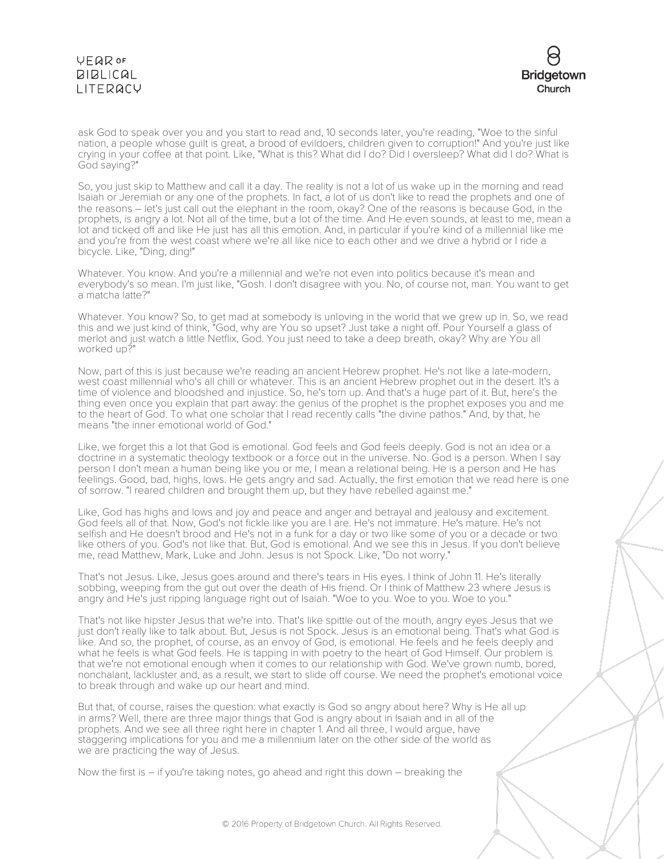

ask God to speak over you and you start to read and, 10 seconds later, you're reading, "Woe to the sinful nation, a people whose guilt is great, a brood of evildoers, children given to corruption!" And you're just like crying in your coffee at that point. Like, "What is this? What did I do? Did I oversleep? What did I do? What is God saying?"

So, you just skip to Matthew and call it a day. The reality is not a lot of us wake up in the morning and read Isaiah or Jeremiah or any one of the prophets. In fact, a lot of us don't like to read the prophets and one of the reasons – let's just call out the elephant in the room, okay? One of the reasons is because God, in the prophets, is angry a lot. Not all of the time, but a lot of the time. And He even sounds, at least to me, mean a lot and ticked off and like He just has all this emotion. And, in particular if you're kind of a millennial like me and you're from the west coast where we're all like nice to each other and we drive a hybrid or I ride a bicycle. Like, "Ding, ding!"

Whatever. You know. And you're a millennial and we're not even into politics because it's mean and everybody's so mean. I'm just like, "Gosh. I don't disagree with you. No, of course not, man. You want to get a matcha latte?"

Whatever. You know? So, to get mad at somebody is unloving in the world that we grew up in. So, we read this and we just kind of think, "God, why are You so upset? Just take a night off. Pour Yourself a glass of merlot and just watch a little Netflix, God. You just need to take a deep breath, okay? Why are You all worked up?"

Now, part of this is just because we're reading an ancient Hebrew prophet. He's not like a late-modern, west coast millennial who's all chill or whatever. This is an ancient Hebrew prophet out in the desert. It's a time of violence and bloodshed and injustice. So, he's torn up. And that's a huge part of it. But, here's the thing even once you explain that part away: the genius of the prophet is the prophet exposes you and me to the heart of God. To what one scholar that I read recently calls "the divine pathos." And, by that, he means "the inner emotional world of God."

Like, we forget this a lot that God is emotional. God feels and God feels deeply. God is not an idea or a doctrine in a systematic theology textbook or a force out in the universe. No. God is a person. When I say person I don't mean a human being like you or me, I mean a relational being. He is a person and He has feelings. Good, bad, highs, lows. He gets angry and sad. Actually, the first emotion that we read here is one of sorrow. "I reared children and brought them up, but they have rebelled against me."

Like, God has highs and lows and joy and peace and anger and betrayal and jealousy and excitement. God feels all of that. Now, God's not fickle like you are I are. He's not immature. He's mature. He's not selfish and He doesn't brood and He's not in a funk for a day or two like some of you or a decade or two like others of you. God's not like that. But, God is emotional. And we see this in Jesus. If you don't believe me, read Matthew, Mark, Luke and John. Jesus is not Spock. Like, "Do not worry."

That's not Jesus. Like, Jesus goes around and there's tears in His eyes. I think of John 11. He's literally sobbing, weeping from the gut out over the death of His friend. Or I think of Matthew 23 where Jesus is angry and He's just ripping language right out of Isaiah. "Woe to you. Woe to you. Woe to you."

That's not like hipster Jesus that we're into. That's like spittle out of the mouth, angry eyes Jesus that we just don't really like to talk about. But, Jesus is not Spock. Jesus is an emotional being. That's what God is like. And so, the prophet, of course, as an envoy of God, is emotional. He feels and he feels deeply and what he feels is what God feels. He is tapping in with poetry to the heart of God Himself. Our problem is that we're not emotional enough when it comes to our relationship with God. We've grown numb, bored, nonchalant, lackluster and, as a result, we start to slide off course. We need the prophet's emotional voice to break through and wake up our heart and mind.

But that, of course, raises the question: what exactly is God so angry about here? Why is He all up in arms? Well, there are three major things that God is angry about in Isaiah and in all of the prophets. And we see all three right here in chapter 1. And all three, I would argue, have staggering implications for you and me a millennium later on the other side of the world as we are practicing the way of Jesus.

Now the first is – if you're taking notes, go ahead and right this down – breaking the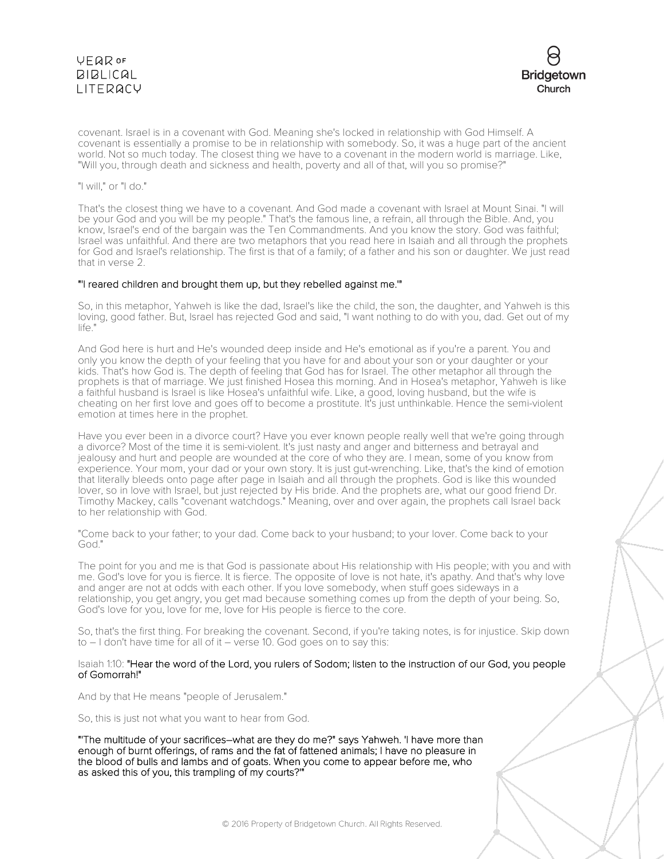



covenant. Israel is in a covenant with God. Meaning she's locked in relationship with God Himself. A covenant is essentially a promise to be in relationship with somebody. So, it was a huge part of the ancient world. Not so much today. The closest thing we have to a covenant in the modern world is marriage. Like, "Will you, through death and sickness and health, poverty and all of that, will you so promise?"

"I will," or "I do."

That's the closest thing we have to a covenant. And God made a covenant with Israel at Mount Sinai. "I will be your God and you will be my people." That's the famous line, a refrain, all through the Bible. And, you know, Israel's end of the bargain was the Ten Commandments. And you know the story. God was faithful; Israel was unfaithful. And there are two metaphors that you read here in Isaiah and all through the prophets for God and Israel's relationship. The first is that of a family; of a father and his son or daughter. We just read that in verse 2.

#### "'I reared children and brought them up, but they rebelled against me.'"

So, in this metaphor, Yahweh is like the dad, Israel's like the child, the son, the daughter, and Yahweh is this loving, good father. But, Israel has rejected God and said, "I want nothing to do with you, dad. Get out of my life."

And God here is hurt and He's wounded deep inside and He's emotional as if you're a parent. You and only you know the depth of your feeling that you have for and about your son or your daughter or your kids. That's how God is. The depth of feeling that God has for Israel. The other metaphor all through the prophets is that of marriage. We just finished Hosea this morning. And in Hosea's metaphor, Yahweh is like a faithful husband is Israel is like Hosea's unfaithful wife. Like, a good, loving husband, but the wife is cheating on her first love and goes off to become a prostitute. It's just unthinkable. Hence the semi-violent emotion at times here in the prophet.

Have you ever been in a divorce court? Have you ever known people really well that we're going through a divorce? Most of the time it is semi-violent. It's just nasty and anger and bitterness and betrayal and jealousy and hurt and people are wounded at the core of who they are. I mean, some of you know from experience. Your mom, your dad or your own story. It is just gut-wrenching. Like, that's the kind of emotion that literally bleeds onto page after page in Isaiah and all through the prophets. God is like this wounded lover, so in love with Israel, but just rejected by His bride. And the prophets are, what our good friend Dr. Timothy Mackey, calls "covenant watchdogs." Meaning, over and over again, the prophets call Israel back to her relationship with God.

"Come back to your father; to your dad. Come back to your husband; to your lover. Come back to your God."

The point for you and me is that God is passionate about His relationship with His people; with you and with me. God's love for you is fierce. It is fierce. The opposite of love is not hate, it's apathy. And that's why love and anger are not at odds with each other. If you love somebody, when stuff goes sideways in a relationship, you get angry, you get mad because something comes up from the depth of your being. So, God's love for you, love for me, love for His people is fierce to the core.

So, that's the first thing. For breaking the covenant. Second, if you're taking notes, is for injustice. Skip down to – I don't have time for all of it – verse 10. God goes on to say this:

Isaiah 1:10: "Hear the word of the Lord, you rulers of Sodom; listen to the instruction of our God, you people of Gomorrah!"

And by that He means "people of Jerusalem."

So, this is just not what you want to hear from God.

"'The multitude of your sacrifices–what are they do me?" says Yahweh. 'I have more than enough of burnt offerings, of rams and the fat of fattened animals; I have no pleasure in the blood of bulls and lambs and of goats. When you come to appear before me, who as asked this of you, this trampling of my courts?'"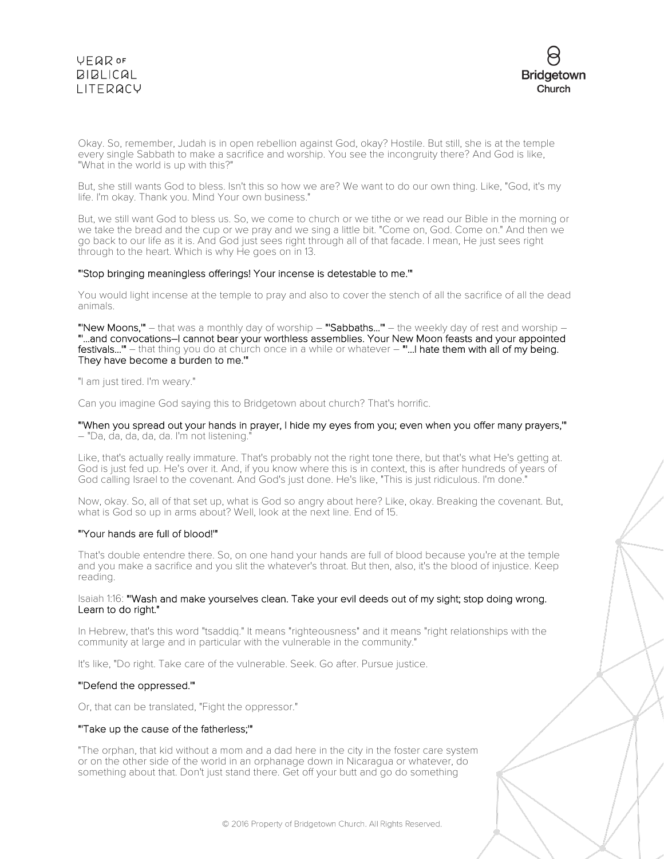

Okay. So, remember, Judah is in open rebellion against God, okay? Hostile. But still, she is at the temple every single Sabbath to make a sacrifice and worship. You see the incongruity there? And God is like, "What in the world is up with this?"

But, she still wants God to bless. Isn't this so how we are? We want to do our own thing. Like, "God, it's my life. I'm okay. Thank you. Mind Your own business."

But, we still want God to bless us. So, we come to church or we tithe or we read our Bible in the morning or we take the bread and the cup or we pray and we sing a little bit. "Come on, God. Come on." And then we go back to our life as it is. And God just sees right through all of that facade. I mean, He just sees right through to the heart. Which is why He goes on in 13.

### "'Stop bringing meaningless offerings! Your incense is detestable to me.'"

You would light incense at the temple to pray and also to cover the stench of all the sacrifice of all the dead animals.

"New Moons," – that was a monthly day of worship – "Sabbaths..." – the weekly day of rest and worship – "'...and convocations–I cannot bear your worthless assemblies. Your New Moon feasts and your appointed festivals..." - that thing you do at church once in a while or whatever - "...I hate them with all of my being. They have become a burden to me.'"

"I am just tired. I'm weary."

Can you imagine God saying this to Bridgetown about church? That's horrific.

"'When you spread out your hands in prayer, I hide my eyes from you; even when you offer many prayers,'" – "Da, da, da, da, da. I'm not listening."

Like, that's actually really immature. That's probably not the right tone there, but that's what He's getting at. God is just fed up. He's over it. And, if you know where this is in context, this is after hundreds of years of God calling Israel to the covenant. And God's just done. He's like, "This is just ridiculous. I'm done."

Now, okay. So, all of that set up, what is God so angry about here? Like, okay. Breaking the covenant. But, what is God so up in arms about? Well, look at the next line. End of 15.

### "'Your hands are full of blood!'"

That's double entendre there. So, on one hand your hands are full of blood because you're at the temple and you make a sacrifice and you slit the whatever's throat. But then, also, it's the blood of injustice. Keep reading.

### Isaiah 1:16: "'Wash and make yourselves clean. Take your evil deeds out of my sight; stop doing wrong. Learn to do right."

In Hebrew, that's this word "tsaddiq." It means "righteousness" and it means "right relationships with the community at large and in particular with the vulnerable in the community."

It's like, "Do right. Take care of the vulnerable. Seek. Go after. Pursue justice.

### "'Defend the oppressed.'"

Or, that can be translated, "Fight the oppressor."

#### "'Take up the cause of the fatherless;'"

"The orphan, that kid without a mom and a dad here in the city in the foster care system or on the other side of the world in an orphanage down in Nicaragua or whatever, do something about that. Don't just stand there. Get off your butt and go do something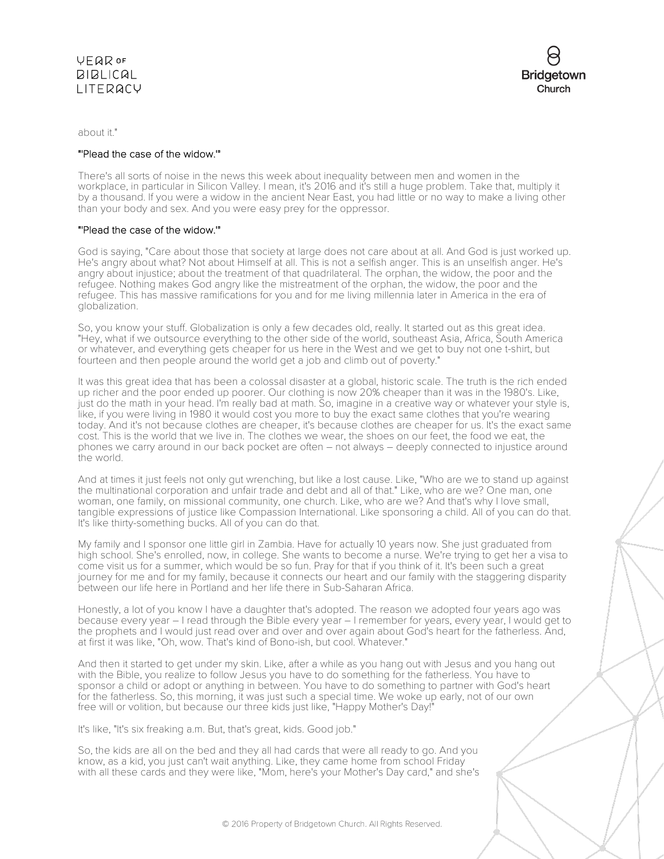

about it."

## "'Plead the case of the widow.'"

There's all sorts of noise in the news this week about inequality between men and women in the workplace, in particular in Silicon Valley. I mean, it's 2016 and it's still a huge problem. Take that, multiply it by a thousand. If you were a widow in the ancient Near East, you had little or no way to make a living other than your body and sex. And you were easy prey for the oppressor.

## "'Plead the case of the widow.'"

God is saying, "Care about those that society at large does not care about at all. And God is just worked up. He's angry about what? Not about Himself at all. This is not a selfish anger. This is an unselfish anger. He's angry about injustice; about the treatment of that quadrilateral. The orphan, the widow, the poor and the refugee. Nothing makes God angry like the mistreatment of the orphan, the widow, the poor and the refugee. This has massive ramifications for you and for me living millennia later in America in the era of globalization.

So, you know your stuff. Globalization is only a few decades old, really. It started out as this great idea. "Hey, what if we outsource everything to the other side of the world, southeast Asia, Africa, South America or whatever, and everything gets cheaper for us here in the West and we get to buy not one t-shirt, but fourteen and then people around the world get a job and climb out of poverty."

It was this great idea that has been a colossal disaster at a global, historic scale. The truth is the rich ended up richer and the poor ended up poorer. Our clothing is now 20% cheaper than it was in the 1980's. Like, just do the math in your head. I'm really bad at math. So, imagine in a creative way or whatever your style is, like, if you were living in 1980 it would cost you more to buy the exact same clothes that you're wearing today. And it's not because clothes are cheaper, it's because clothes are cheaper for us. It's the exact same cost. This is the world that we live in. The clothes we wear, the shoes on our feet, the food we eat, the phones we carry around in our back pocket are often – not always – deeply connected to injustice around the world.

And at times it just feels not only gut wrenching, but like a lost cause. Like, "Who are we to stand up against the multinational corporation and unfair trade and debt and all of that." Like, who are we? One man, one woman, one family, on missional community, one church. Like, who are we? And that's why I love small, tangible expressions of justice like Compassion International. Like sponsoring a child. All of you can do that. It's like thirty-something bucks. All of you can do that.

My family and I sponsor one little girl in Zambia. Have for actually 10 years now. She just graduated from high school. She's enrolled, now, in college. She wants to become a nurse. We're trying to get her a visa to come visit us for a summer, which would be so fun. Pray for that if you think of it. It's been such a great journey for me and for my family, because it connects our heart and our family with the staggering disparity between our life here in Portland and her life there in Sub-Saharan Africa.

Honestly, a lot of you know I have a daughter that's adopted. The reason we adopted four years ago was because every year – I read through the Bible every year – I remember for years, every year, I would get to the prophets and I would just read over and over and over again about God's heart for the fatherless. And, at first it was like, "Oh, wow. That's kind of Bono-ish, but cool. Whatever."

And then it started to get under my skin. Like, after a while as you hang out with Jesus and you hang out with the Bible, you realize to follow Jesus you have to do something for the fatherless. You have to sponsor a child or adopt or anything in between. You have to do something to partner with God's heart for the fatherless. So, this morning, it was just such a special time. We woke up early, not of our own free will or volition, but because our three kids just like, "Happy Mother's Day!"

It's like, "It's six freaking a.m. But, that's great, kids. Good job."

So, the kids are all on the bed and they all had cards that were all ready to go. And you know, as a kid, you just can't wait anything. Like, they came home from school Friday with all these cards and they were like, "Mom, here's your Mother's Day card," and she's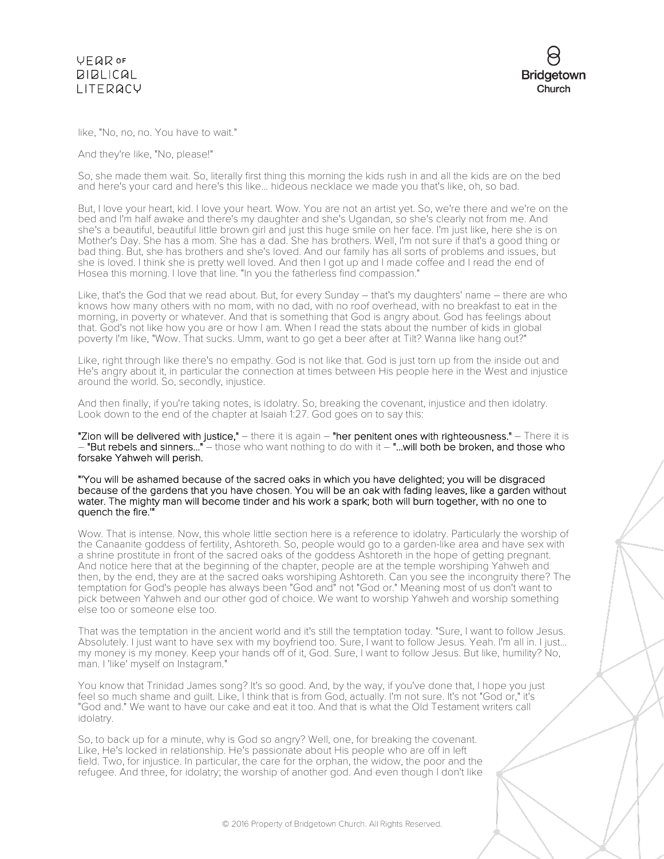



like, "No, no, no. You have to wait."

And they're like, "No, please!"

So, she made them wait. So, literally first thing this morning the kids rush in and all the kids are on the bed and here's your card and here's this like... hideous necklace we made you that's like, oh, so bad.

But, I love your heart, kid. I love your heart. Wow. You are not an artist yet. So, we're there and we're on the bed and I'm half awake and there's my daughter and she's Ugandan, so she's clearly not from me. And she's a beautiful, beautiful little brown girl and just this huge smile on her face. I'm just like, here she is on Mother's Day. She has a mom. She has a dad. She has brothers. Well, I'm not sure if that's a good thing or bad thing. But, she has brothers and she's loved. And our family has all sorts of problems and issues, but she is loved. I think she is pretty well loved. And then I got up and I made coffee and I read the end of Hosea this morning. I love that line. "In you the fatherless find compassion."

Like, that's the God that we read about. But, for every Sunday – that's my daughters' name – there are who knows how many others with no mom, with no dad, with no roof overhead, with no breakfast to eat in the morning, in poverty or whatever. And that is something that God is angry about. God has feelings about that. God's not like how you are or how I am. When I read the stats about the number of kids in global poverty I'm like, "Wow. That sucks. Umm, want to go get a beer after at Tilt? Wanna like hang out?"

Like, right through like there's no empathy. God is not like that. God is just torn up from the inside out and He's angry about it, in particular the connection at times between His people here in the West and injustice around the world. So, secondly, injustice.

And then finally, if you're taking notes, is idolatry. So, breaking the covenant, injustice and then idolatry. Look down to the end of the chapter at Isaiah 1:27. God goes on to say this:

"Zion will be delivered with justice," – there it is again – "her penitent ones with righteousness." – There it is – "But rebels and sinners..." – those who want nothing to do with it – "...will both be broken, and those who forsake Yahweh will perish.

"'You will be ashamed because of the sacred oaks in which you have delighted; you will be disgraced because of the gardens that you have chosen. You will be an oak with fading leaves, like a garden without water. The mighty man will become tinder and his work a spark; both will burn together, with no one to quench the fire.'"

Wow. That is intense. Now, this whole little section here is a reference to idolatry. Particularly the worship of the Canaanite goddess of fertility, Ashtoreth. So, people would go to a garden-like area and have sex with a shrine prostitute in front of the sacred oaks of the goddess Ashtoreth in the hope of getting pregnant. And notice here that at the beginning of the chapter, people are at the temple worshiping Yahweh and then, by the end, they are at the sacred oaks worshiping Ashtoreth. Can you see the incongruity there? The temptation for God's people has always been "God and" not "God or." Meaning most of us don't want to pick between Yahweh and our other god of choice. We want to worship Yahweh and worship something else too or someone else too.

That was the temptation in the ancient world and it's still the temptation today. "Sure, I want to follow Jesus. Absolutely. I just want to have sex with my boyfriend too. Sure, I want to follow Jesus. Yeah. I'm all in. I just... my money is my money. Keep your hands off of it, God. Sure, I want to follow Jesus. But like, humility? No, man. I 'like' myself on Instagram."

You know that Trinidad James song? It's so good. And, by the way, if you've done that, I hope you just feel so much shame and guilt. Like, I think that is from God, actually. I'm not sure. It's not "God or," it's "God and." We want to have our cake and eat it too. And that is what the Old Testament writers call idolatry.

So, to back up for a minute, why is God so angry? Well, one, for breaking the covenant. Like, He's locked in relationship. He's passionate about His people who are off in left field. Two, for injustice. In particular, the care for the orphan, the widow, the poor and the refugee. And three, for idolatry; the worship of another god. And even though I don't like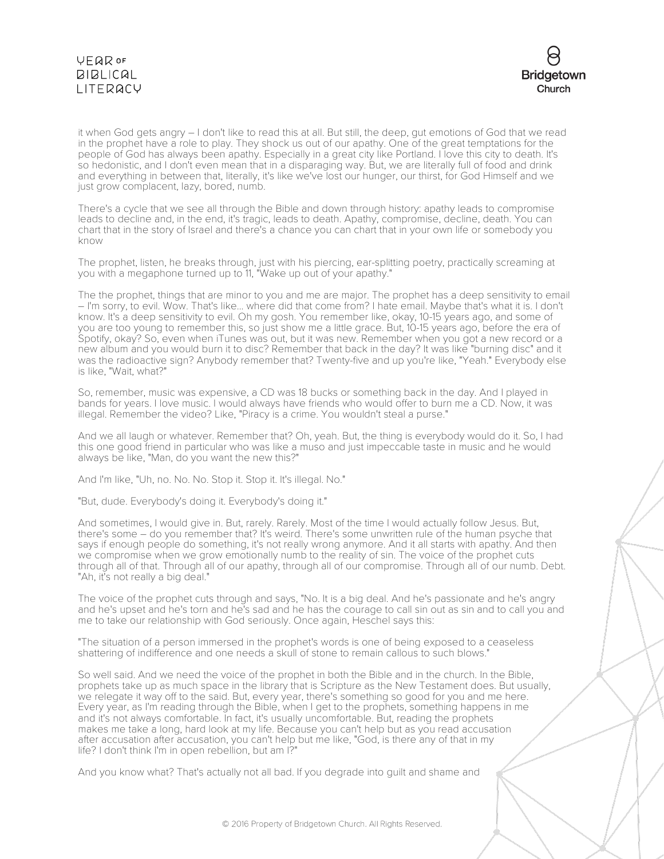

it when God gets angry – I don't like to read this at all. But still, the deep, gut emotions of God that we read in the prophet have a role to play. They shock us out of our apathy. One of the great temptations for the people of God has always been apathy. Especially in a great city like Portland. I love this city to death. It's so hedonistic, and I don't even mean that in a disparaging way. But, we are literally full of food and drink and everything in between that, literally, it's like we've lost our hunger, our thirst, for God Himself and we just grow complacent, lazy, bored, numb.

There's a cycle that we see all through the Bible and down through history: apathy leads to compromise leads to decline and, in the end, it's tragic, leads to death. Apathy, compromise, decline, death. You can chart that in the story of Israel and there's a chance you can chart that in your own life or somebody you know

The prophet, listen, he breaks through, just with his piercing, ear-splitting poetry, practically screaming at you with a megaphone turned up to 11, "Wake up out of your apathy."

The the prophet, things that are minor to you and me are major. The prophet has a deep sensitivity to email – I'm sorry, to evil. Wow. That's like... where did that come from? I hate email. Maybe that's what it is. I don't know. It's a deep sensitivity to evil. Oh my gosh. You remember like, okay, 10-15 years ago, and some of you are too young to remember this, so just show me a little grace. But, 10-15 years ago, before the era of Spotify, okay? So, even when iTunes was out, but it was new. Remember when you got a new record or a new album and you would burn it to disc? Remember that back in the day? It was like "burning disc" and it was the radioactive sign? Anybody remember that? Twenty-five and up you're like, "Yeah." Everybody else is like, "Wait, what?"

So, remember, music was expensive, a CD was 18 bucks or something back in the day. And I played in bands for years. I love music. I would always have friends who would offer to burn me a CD. Now, it was illegal. Remember the video? Like, "Piracy is a crime. You wouldn't steal a purse."

And we all laugh or whatever. Remember that? Oh, yeah. But, the thing is everybody would do it. So, I had this one good friend in particular who was like a muso and just impeccable taste in music and he would always be like, "Man, do you want the new this?"

And I'm like, "Uh, no. No. No. Stop it. Stop it. It's illegal. No."

"But, dude. Everybody's doing it. Everybody's doing it."

And sometimes, I would give in. But, rarely. Rarely. Most of the time I would actually follow Jesus. But, there's some – do you remember that? It's weird. There's some unwritten rule of the human psyche that says if enough people do something, it's not really wrong anymore. And it all starts with apathy. And then we compromise when we grow emotionally numb to the reality of sin. The voice of the prophet cuts through all of that. Through all of our apathy, through all of our compromise. Through all of our numb. Debt. "Ah, it's not really a big deal."

The voice of the prophet cuts through and says, "No. It is a big deal. And he's passionate and he's angry and he's upset and he's torn and he's sad and he has the courage to call sin out as sin and to call you and me to take our relationship with God seriously. Once again, Heschel says this:

"The situation of a person immersed in the prophet's words is one of being exposed to a ceaseless shattering of indifference and one needs a skull of stone to remain callous to such blows."

So well said. And we need the voice of the prophet in both the Bible and in the church. In the Bible, prophets take up as much space in the library that is Scripture as the New Testament does. But usually, we relegate it way off to the said. But, every year, there's something so good for you and me here. Every year, as I'm reading through the Bible, when I get to the prophets, something happens in me and it's not always comfortable. In fact, it's usually uncomfortable. But, reading the prophets makes me take a long, hard look at my life. Because you can't help but as you read accusation after accusation after accusation, you can't help but me like, "God, is there any of that in my life? I don't think I'm in open rebellion, but am I?"

And you know what? That's actually not all bad. If you degrade into guilt and shame and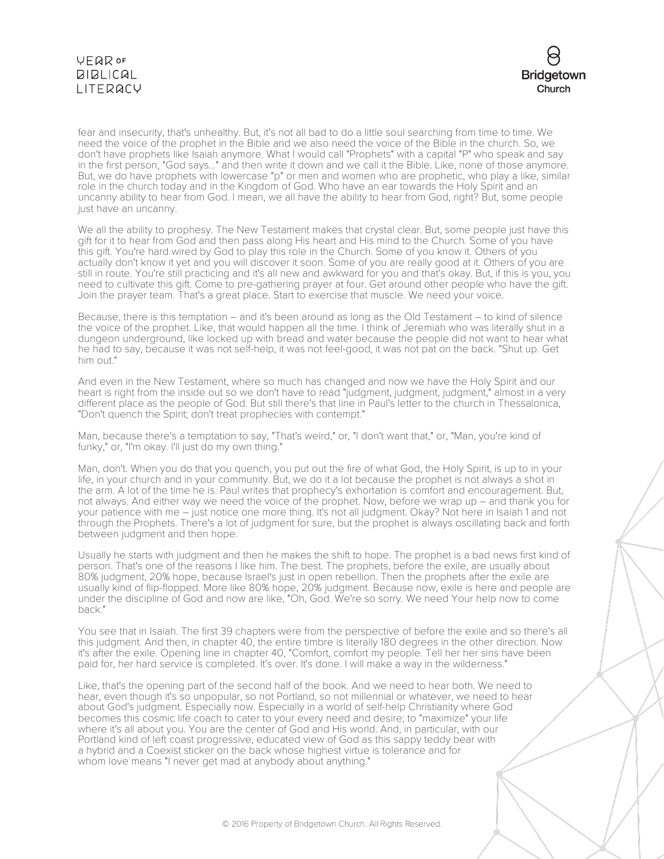

fear and insecurity, that's unhealthy. But, it's not all bad to do a little soul searching from time to time. We need the voice of the prophet in the Bible and we also need the voice of the Bible in the church. So, we don't have prophets like Isaiah anymore. What I would call "Prophets" with a capital "P" who speak and say in the first person, "God says..." and then write it down and we call it the Bible. Like, none of those anymore. But, we do have prophets with lowercase "p" or men and women who are prophetic, who play a like, similar role in the church today and in the Kingdom of God. Who have an ear towards the Holy Spirit and an uncanny ability to hear from God. I mean, we all have the ability to hear from God, right? But, some people just have an uncanny.

We all the ability to prophesy. The New Testament makes that crystal clear. But, some people just have this gift for it to hear from God and then pass along His heart and His mind to the Church. Some of you have this gift. You're hard wired by God to play this role in the Church. Some of you know it. Others of you actually don't know it yet and you will discover it soon. Some of you are really good at it. Others of you are still in route. You're still practicing and it's all new and awkward for you and that's okay. But, if this is you, you need to cultivate this gift. Come to pre-gathering prayer at four. Get around other people who have the gift. Join the prayer team. That's a great place. Start to exercise that muscle. We need your voice.

Because, there is this temptation – and it's been around as long as the Old Testament – to kind of silence the voice of the prophet. Like, that would happen all the time. I think of Jeremiah who was literally shut in a dungeon underground, like locked up with bread and water because the people did not want to hear what he had to say, because it was not self-help, it was not feel-good, it was not pat on the back. "Shut up. Get him out."

And even in the New Testament, where so much has changed and now we have the Holy Spirit and our heart is right from the inside out so we don't have to read "judgment, judgment, judgment," almost in a very different place as the people of God. But still there's that line in Paul's letter to the church in Thessalonica, "Don't quench the Spirit; don't treat prophecies with contempt."

Man, because there's a temptation to say, "That's weird," or, "I don't want that," or, "Man, you're kind of funky," or, "I'm okay. I'll just do my own thing."

Man, don't. When you do that you quench, you put out the fire of what God, the Holy Spirit, is up to in your life, in your church and in your community. But, we do it a lot because the prophet is not always a shot in the arm. A lot of the time he is. Paul writes that prophecy's exhortation is comfort and encouragement. But, not always. And either way we need the voice of the prophet. Now, before we wrap up – and thank you for your patience with me – just notice one more thing. It's not all judgment. Okay? Not here in Isaiah 1 and not through the Prophets. There's a lot of judgment for sure, but the prophet is always oscillating back and forth between judgment and then hope.

Usually he starts with judgment and then he makes the shift to hope. The prophet is a bad news first kind of person. That's one of the reasons I like him. The best. The prophets, before the exile, are usually about 80% judgment, 20% hope, because Israel's just in open rebellion. Then the prophets after the exile are usually kind of flip-flopped. More like 80% hope, 20% judgment. Because now, exile is here and people are under the discipline of God and now are like, "Oh, God. We're so sorry. We need Your help now to come back."

You see that in Isaiah. The first 39 chapters were from the perspective of before the exile and so there's all this judgment. And then, in chapter 40, the entire timbre is literally 180 degrees in the other direction. Now it's after the exile. Opening line in chapter 40, "Comfort, comfort my people. Tell her her sins have been paid for, her hard service is completed. It's over. It's done. I will make a way in the wilderness."

Like, that's the opening part of the second half of the book. And we need to hear both. We need to hear, even though it's so unpopular, so not Portland, so not millennial or whatever, we need to hear about God's judgment. Especially now. Especially in a world of self-help Christianity where God becomes this cosmic life coach to cater to your every need and desire; to "maximize" your life where it's all about you. You are the center of God and His world. And, in particular, with our Portland kind of left coast progressive, educated view of God as this sappy teddy bear with a hybrid and a Coexist sticker on the back whose highest virtue is tolerance and for whom love means "I never get mad at anybody about anything."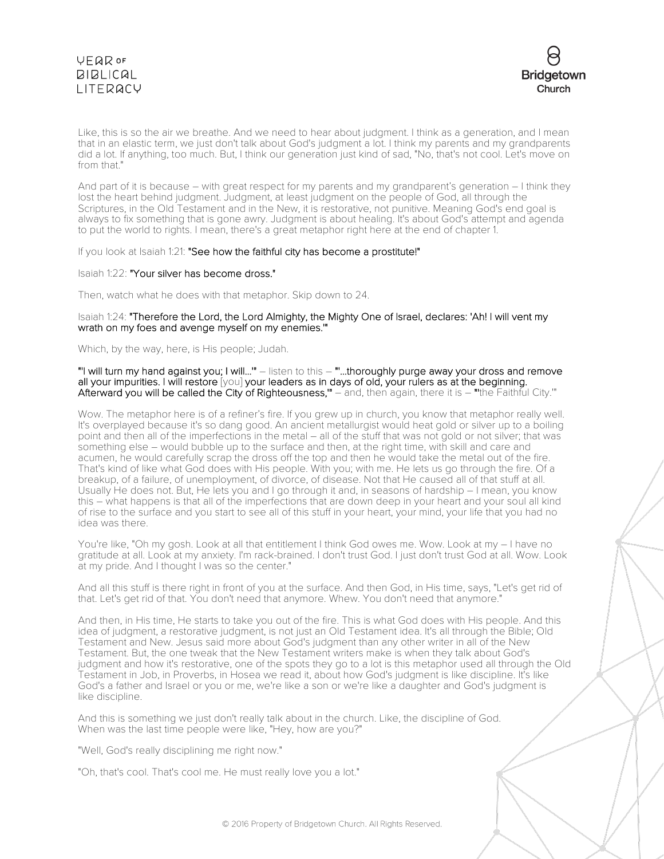

Like, this is so the air we breathe. And we need to hear about judgment. I think as a generation, and I mean that in an elastic term, we just don't talk about God's judgment a lot. I think my parents and my grandparents did a lot. If anything, too much. But, I think our generation just kind of sad, "No, that's not cool. Let's move on from that."

And part of it is because – with great respect for my parents and my grandparent's generation – I think they lost the heart behind judgment. Judgment, at least judgment on the people of God, all through the Scriptures, in the Old Testament and in the New, it is restorative, not punitive. Meaning God's end goal is always to fix something that is gone awry. Judgment is about healing. It's about God's attempt and agenda to put the world to rights. I mean, there's a great metaphor right here at the end of chapter 1.

If you look at Isaiah 1:21: "See how the faithful city has become a prostitute!"

### Isaiah 1:22: "Your silver has become dross."

Then, watch what he does with that metaphor. Skip down to 24.

### Isaiah 1:24: "Therefore the Lord, the Lord Almighty, the Mighty One of Israel, declares: 'Ah! I will vent my wrath on my foes and avenge myself on my enemies.'"

Which, by the way, here, is His people; Judah.

"'I will turn my hand against you; I will...'" – listen to this – "'...thoroughly purge away your dross and remove all your impurities. I will restore [you] your leaders as in days of old, your rulers as at the beginning. Afterward you will be called the City of Righteousness," – and, then again, there it is – "the Faithful City."

Wow. The metaphor here is of a refiner's fire. If you grew up in church, you know that metaphor really well. It's overplayed because it's so dang good. An ancient metallurgist would heat gold or silver up to a boiling point and then all of the imperfections in the metal – all of the stuff that was not gold or not silver; that was something else – would bubble up to the surface and then, at the right time, with skill and care and acumen, he would carefully scrap the dross off the top and then he would take the metal out of the fire. That's kind of like what God does with His people. With you; with me. He lets us go through the fire. Of a breakup, of a failure, of unemployment, of divorce, of disease. Not that He caused all of that stuff at all. Usually He does not. But, He lets you and I go through it and, in seasons of hardship – I mean, you know this – what happens is that all of the imperfections that are down deep in your heart and your soul all kind of rise to the surface and you start to see all of this stuff in your heart, your mind, your life that you had no idea was there.

You're like, "Oh my gosh. Look at all that entitlement I think God owes me. Wow. Look at my – I have no gratitude at all. Look at my anxiety. I'm rack-brained. I don't trust God. I just don't trust God at all. Wow. Look at my pride. And I thought I was so the center."

And all this stuff is there right in front of you at the surface. And then God, in His time, says, "Let's get rid of that. Let's get rid of that. You don't need that anymore. Whew. You don't need that anymore."

And then, in His time, He starts to take you out of the fire. This is what God does with His people. And this idea of judgment, a restorative judgment, is not just an Old Testament idea. It's all through the Bible; Old Testament and New. Jesus said more about God's judgment than any other writer in all of the New Testament. But, the one tweak that the New Testament writers make is when they talk about God's judgment and how it's restorative, one of the spots they go to a lot is this metaphor used all through the Old Testament in Job, in Proverbs, in Hosea we read it, about how God's judgment is like discipline. It's like God's a father and Israel or you or me, we're like a son or we're like a daughter and God's judgment is like discipline.

And this is something we just don't really talk about in the church. Like, the discipline of God. When was the last time people were like, "Hey, how are you?"

"Well, God's really disciplining me right now."

"Oh, that's cool. That's cool me. He must really love you a lot."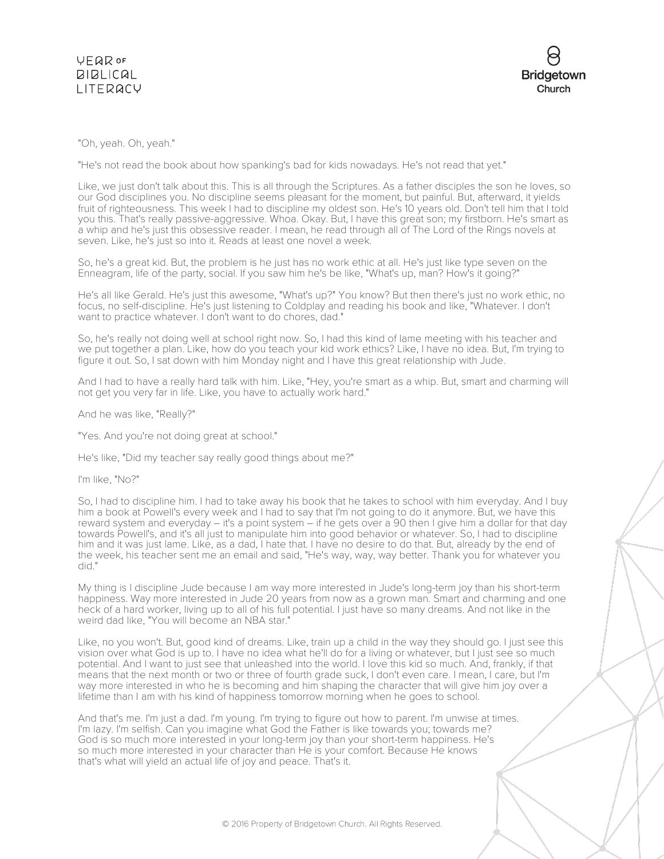

## "Oh, yeah. Oh, yeah."

"He's not read the book about how spanking's bad for kids nowadays. He's not read that yet."

Like, we just don't talk about this. This is all through the Scriptures. As a father disciples the son he loves, so our God disciplines you. No discipline seems pleasant for the moment, but painful. But, afterward, it yields fruit of righteousness. This week I had to discipline my oldest son. He's 10 years old. Don't tell him that I told you this. That's really passive-aggressive. Whoa. Okay. But, I have this great son; my firstborn. He's smart as a whip and he's just this obsessive reader. I mean, he read through all of The Lord of the Rings novels at seven. Like, he's just so into it. Reads at least one novel a week.

So, he's a great kid. But, the problem is he just has no work ethic at all. He's just like type seven on the Enneagram, life of the party, social. If you saw him he's be like, "What's up, man? How's it going?"

He's all like Gerald. He's just this awesome, "What's up?" You know? But then there's just no work ethic, no focus, no self-discipline. He's just listening to Coldplay and reading his book and like, "Whatever. I don't want to practice whatever. I don't want to do chores, dad."

So, he's really not doing well at school right now. So, I had this kind of lame meeting with his teacher and we put together a plan. Like, how do you teach your kid work ethics? Like, I have no idea. But, I'm trying to figure it out. So, I sat down with him Monday night and I have this great relationship with Jude.

And I had to have a really hard talk with him. Like, "Hey, you're smart as a whip. But, smart and charming will not get you very far in life. Like, you have to actually work hard."

And he was like, "Really?"

"Yes. And you're not doing great at school."

He's like, "Did my teacher say really good things about me?"

I'm like, "No?"

So, I had to discipline him. I had to take away his book that he takes to school with him everyday. And I buy him a book at Powell's every week and I had to say that I'm not going to do it anymore. But, we have this reward system and everyday – it's a point system – if he gets over a 90 then I give him a dollar for that day towards Powell's, and it's all just to manipulate him into good behavior or whatever. So, I had to discipline him and it was just lame. Like, as a dad, I hate that. I have no desire to do that. But, already by the end of the week, his teacher sent me an email and said, "He's way, way, way better. Thank you for whatever you did."

My thing is I discipline Jude because I am way more interested in Jude's long-term joy than his short-term happiness. Way more interested in Jude 20 years from now as a grown man. Smart and charming and one heck of a hard worker, living up to all of his full potential. I just have so many dreams. And not like in the weird dad like, "You will become an NBA star."

Like, no you won't. But, good kind of dreams. Like, train up a child in the way they should go. I just see this vision over what God is up to. I have no idea what he'll do for a living or whatever, but I just see so much potential. And I want to just see that unleashed into the world. I love this kid so much. And, frankly, if that means that the next month or two or three of fourth grade suck, I don't even care. I mean, I care, but I'm way more interested in who he is becoming and him shaping the character that will give him joy over a lifetime than I am with his kind of happiness tomorrow morning when he goes to school.

And that's me. I'm just a dad. I'm young. I'm trying to figure out how to parent. I'm unwise at times. I'm lazy. I'm selfish. Can you imagine what God the Father is like towards you; towards me? God is so much more interested in your long-term joy than your short-term happiness. He's so much more interested in your character than He is your comfort. Because He knows that's what will yield an actual life of joy and peace. That's it.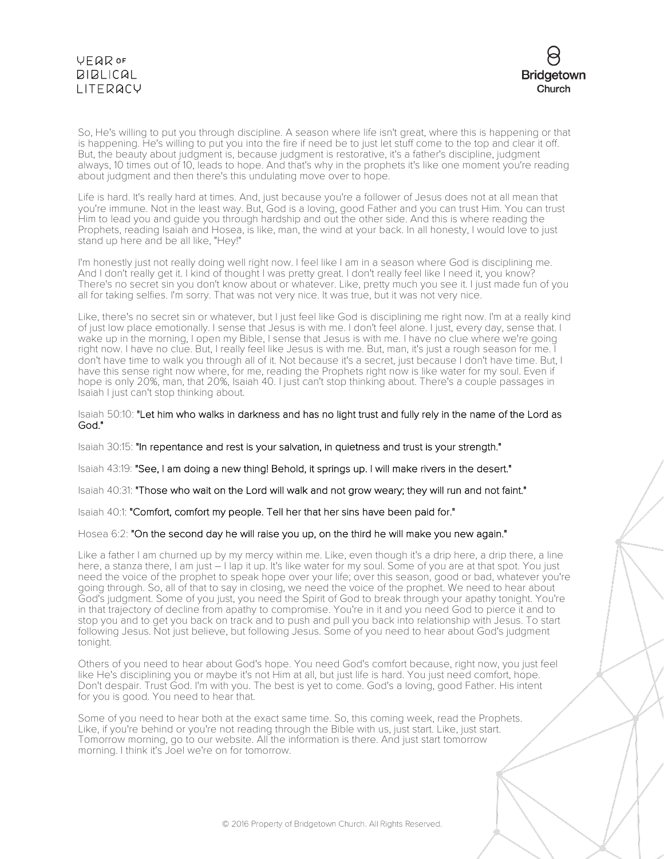

So, He's willing to put you through discipline. A season where life isn't great, where this is happening or that is happening. He's willing to put you into the fire if need be to just let stuff come to the top and clear it off. But, the beauty about judgment is, because judgment is restorative, it's a father's discipline, judgment always, 10 times out of 10, leads to hope. And that's why in the prophets it's like one moment you're reading about judgment and then there's this undulating move over to hope.

Life is hard. It's really hard at times. And, just because you're a follower of Jesus does not at all mean that you're immune. Not in the least way. But, God is a loving, good Father and you can trust Him. You can trust Him to lead you and guide you through hardship and out the other side. And this is where reading the Prophets, reading Isaiah and Hosea, is like, man, the wind at your back. In all honesty, I would love to just stand up here and be all like, "Hey!"

I'm honestly just not really doing well right now. I feel like I am in a season where God is disciplining me. And I don't really get it. I kind of thought I was pretty great. I don't really feel like I need it, you know? There's no secret sin you don't know about or whatever. Like, pretty much you see it. I just made fun of you all for taking selfies. I'm sorry. That was not very nice. It was true, but it was not very nice.

Like, there's no secret sin or whatever, but I just feel like God is disciplining me right now. I'm at a really kind of just low place emotionally. I sense that Jesus is with me. I don't feel alone. I just, every day, sense that. I wake up in the morning, I open my Bible, I sense that Jesus is with me. I have no clue where we're going right now. I have no clue. But, I really feel like Jesus is with me. But, man, it's just a rough season for me. I don't have time to walk you through all of it. Not because it's a secret, just because I don't have time. But, I have this sense right now where, for me, reading the Prophets right now is like water for my soul. Even if hope is only 20%, man, that 20%, Isaiah 40. I just can't stop thinking about. There's a couple passages in Isaiah I just can't stop thinking about.

Isaiah 50:10: "Let him who walks in darkness and has no light trust and fully rely in the name of the Lord as God."

Isaiah 30:15: "In repentance and rest is your salvation, in quietness and trust is your strength."

Isaiah 43:19: "See, I am doing a new thing! Behold, it springs up. I will make rivers in the desert."

Isaiah 40:31: "Those who wait on the Lord will walk and not grow weary; they will run and not faint."

Isaiah 40:1: "Comfort, comfort my people. Tell her that her sins have been paid for."

## Hosea 6:2: "On the second day he will raise you up, on the third he will make you new again."

Like a father I am churned up by my mercy within me. Like, even though it's a drip here, a drip there, a line here, a stanza there, I am just – I lap it up. It's like water for my soul. Some of you are at that spot. You just need the voice of the prophet to speak hope over your life; over this season, good or bad, whatever you're going through. So, all of that to say in closing, we need the voice of the prophet. We need to hear about God's judgment. Some of you just, you need the Spirit of God to break through your apathy tonight. You're in that trajectory of decline from apathy to compromise. You're in it and you need God to pierce it and to stop you and to get you back on track and to push and pull you back into relationship with Jesus. To start following Jesus. Not just believe, but following Jesus. Some of you need to hear about God's judgment tonight.

Others of you need to hear about God's hope. You need God's comfort because, right now, you just feel like He's disciplining you or maybe it's not Him at all, but just life is hard. You just need comfort, hope. Don't despair. Trust God. I'm with you. The best is yet to come. God's a loving, good Father. His intent for you is good. You need to hear that.

Some of you need to hear both at the exact same time. So, this coming week, read the Prophets. Like, if you're behind or you're not reading through the Bible with us, just start. Like, just start. Tomorrow morning, go to our website. All the information is there. And just start tomorrow morning. I think it's Joel we're on for tomorrow.